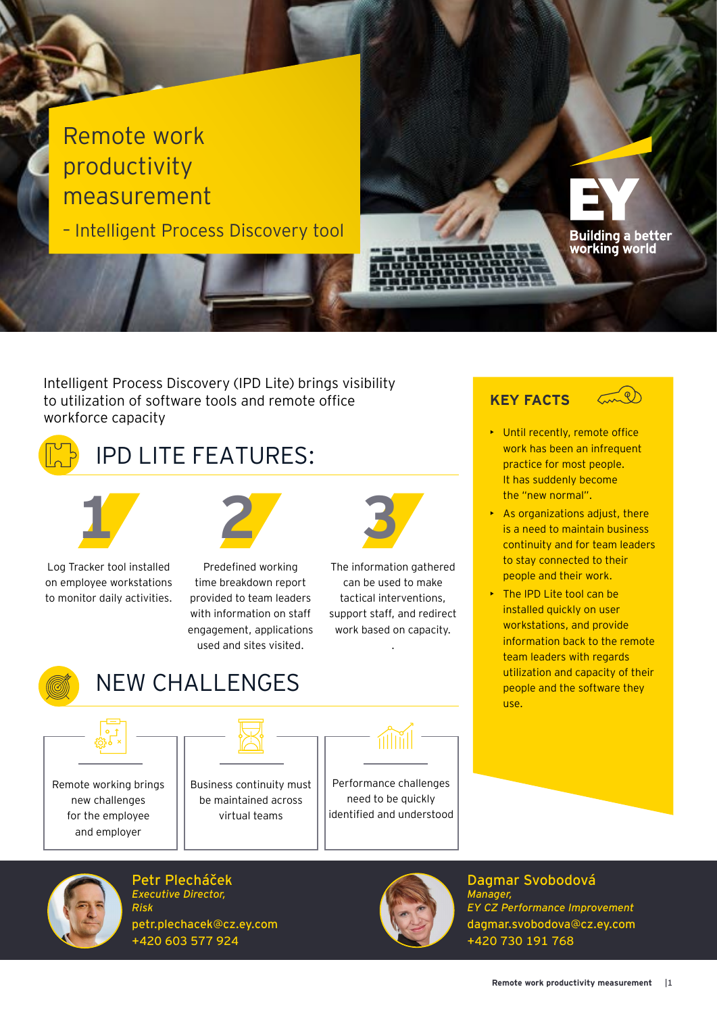

Intelligent Process Discovery (IPD Lite) brings visibility to utilization of software tools and remote office workforce capacity



## IPD LITE FEATURES:



Log Tracker tool installed on employee workstations to monitor daily activities.

**1 2 3**

Predefined working time breakdown report provided to team leaders with information on staff engagement, applications used and sites visited.



The information gathered can be used to make tactical interventions, support staff, and redirect work based on capacity.

.



## NEW CHALLENGES



Remote working brings new challenges for the employee and employer



Business continuity must be maintained across virtual teams



Performance challenges need to be quickly identified and understood



Petr Plecháček *Executive Director, Risk* petr.plechacek@cz.ey.com +420 603 577 924



Dagmar Svobodová *Manager, EY CZ Performance Improvement* dagmar.svobodova@cz.ey.com +420 730 191 768

## **KEY FACTS**



- Until recently, remote office work has been an infrequent practice for most people. It has suddenly become the "new normal".
- As organizations adjust, there is a need to maintain business continuity and for team leaders to stay connected to their people and their work.
- The IPD Lite tool can be installed quickly on user workstations, and provide information back to the remote team leaders with regards utilization and capacity of their people and the software they use.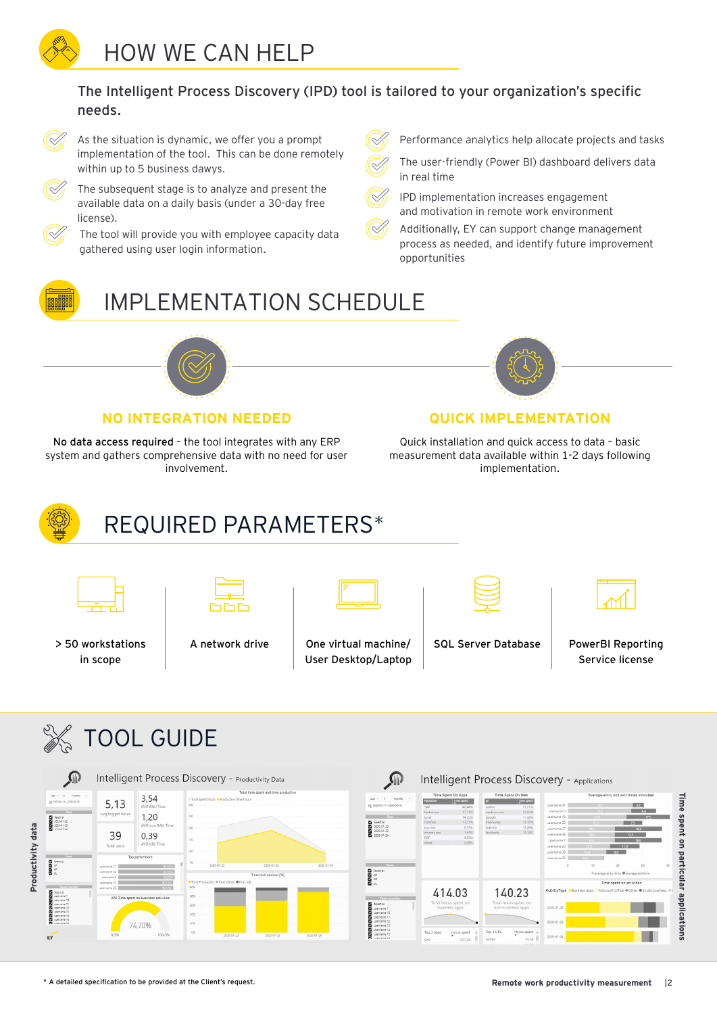The Intelligent Process Discovery (IPD) tool is tailored to your organization's specific needs.



As the situation is dynamic, we offer you a prompt implementation of the tool. This can be done remotely within up to 5 business dawys.

The subsequent stage is to analyze and present the available data on a daily basis (under a 30-day free license).

The tool will provide you with employee capacity data gathered using user login information.

- Performance analytics help allocate projects and tasks
- The user-friendly (Power BI) dashboard delivers data in real time
- IPD implementation increases engagement and motivation in remote work environment
	- Additionally, EY can support change management process as needed, and identify future improvement opportunities

## IMPLEMENTATION SCHEDULE



### **NO INTEGRATION NEEDED CUICK IMPLEMENTATION**

No data access required – the tool integrates with any ERP system and gathers comprehensive data with no need for user involvement.



Quick installation and quick access to data – basic measurement data available within 1-2 days following implementation.



# REQUIRED PARAMETERS\*



in scope



> 50 workstations

A network drive One virtual machine/ User Desktop/Laptop



| _____ |
|-------|
|       |

SQL Server Database | PowerBI Reporting Service license